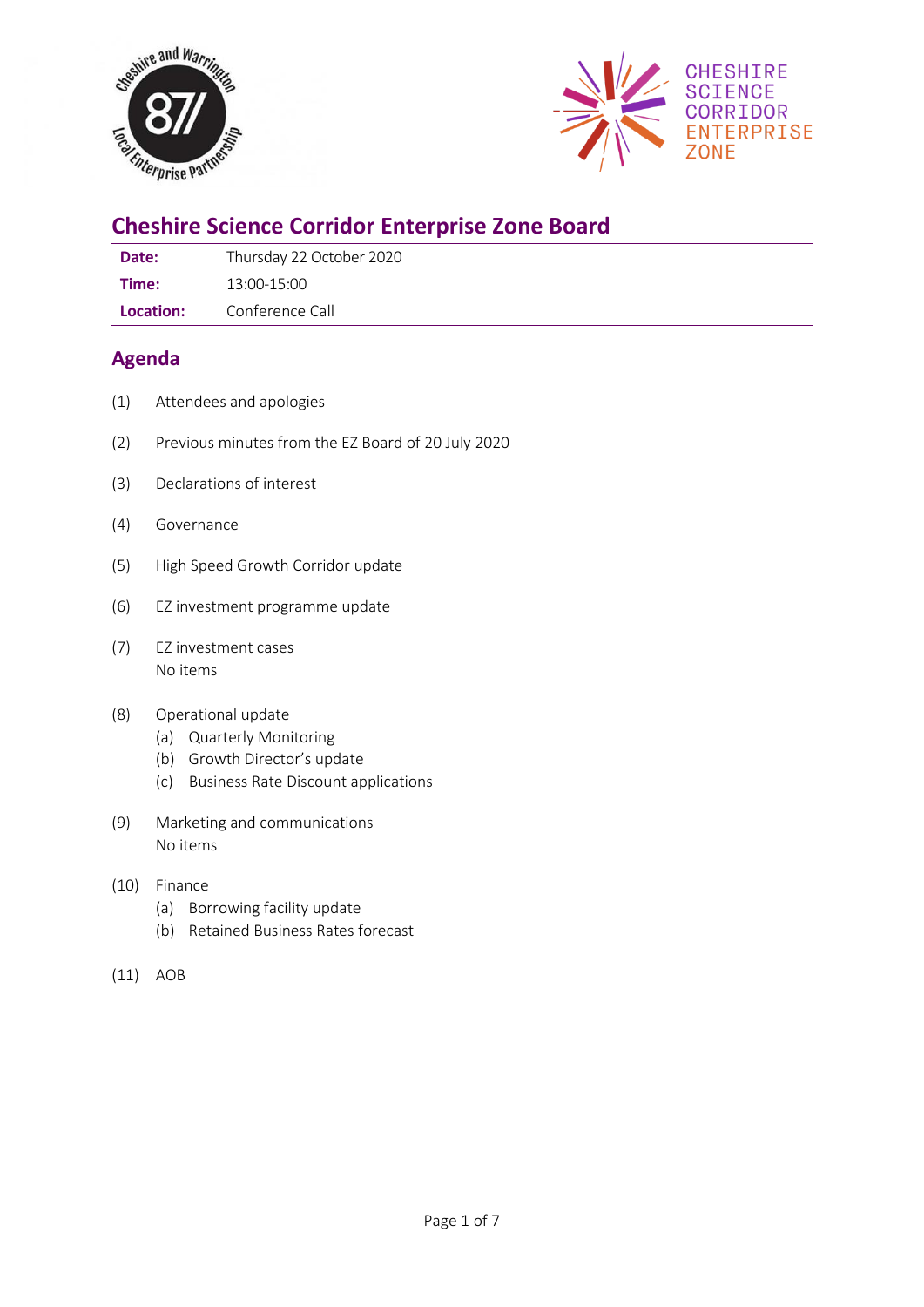



# **Cheshire Science Corridor Enterprise Zone Board**

Date: Thursday 22 October 2020

**Time:** 13:00-15:00

**Location:** Conference Call

## **Agenda**

- (1) Attendees and apologies
- (2) Previous minutes from the EZ Board of 20 July 2020
- (3) Declarations of interest
- (4) Governance
- (5) High Speed Growth Corridor update
- (6) EZ investment programme update
- (7) EZ investment cases No items

#### (8) Operational update

- (a) Quarterly Monitoring
- (b) Growth Director's update
- (c) Business Rate Discount applications
- (9) Marketing and communications No items
- (10) Finance
	- (a) Borrowing facility update
	- (b) Retained Business Rates forecast
- (11) AOB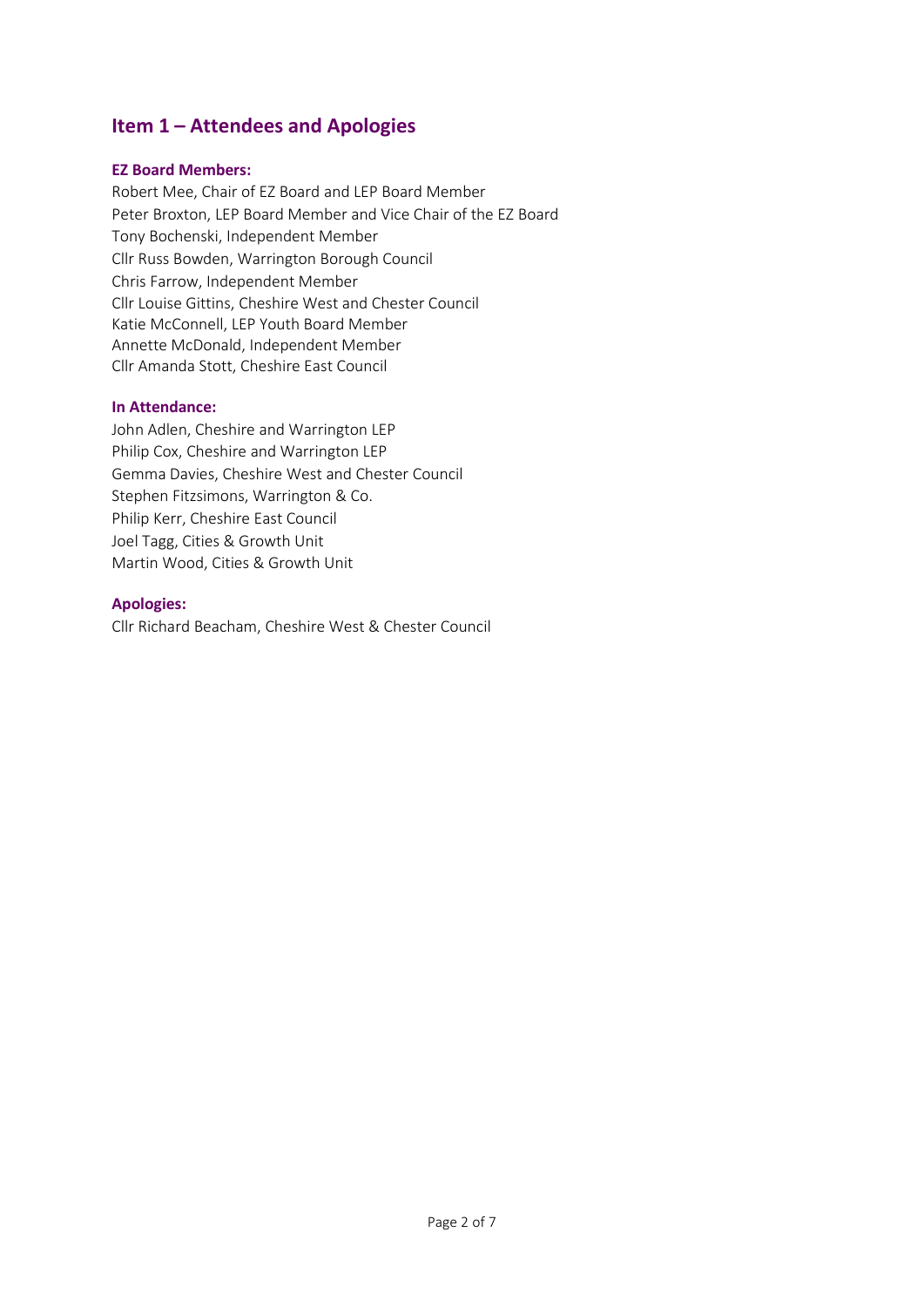## **Item 1 – Attendees and Apologies**

#### **EZ Board Members:**

Robert Mee, Chair of EZ Board and LEP Board Member Peter Broxton, LEP Board Member and Vice Chair of the EZ Board Tony Bochenski, Independent Member Cllr Russ Bowden, Warrington Borough Council Chris Farrow, Independent Member Cllr Louise Gittins, Cheshire West and Chester Council Katie McConnell, LEP Youth Board Member Annette McDonald, Independent Member Cllr Amanda Stott, Cheshire East Council

#### **In Attendance:**

John Adlen, Cheshire and Warrington LEP Philip Cox, Cheshire and Warrington LEP Gemma Davies, Cheshire West and Chester Council Stephen Fitzsimons, Warrington & Co. Philip Kerr, Cheshire East Council Joel Tagg, Cities & Growth Unit Martin Wood, Cities & Growth Unit

#### **Apologies:**

Cllr Richard Beacham, Cheshire West & Chester Council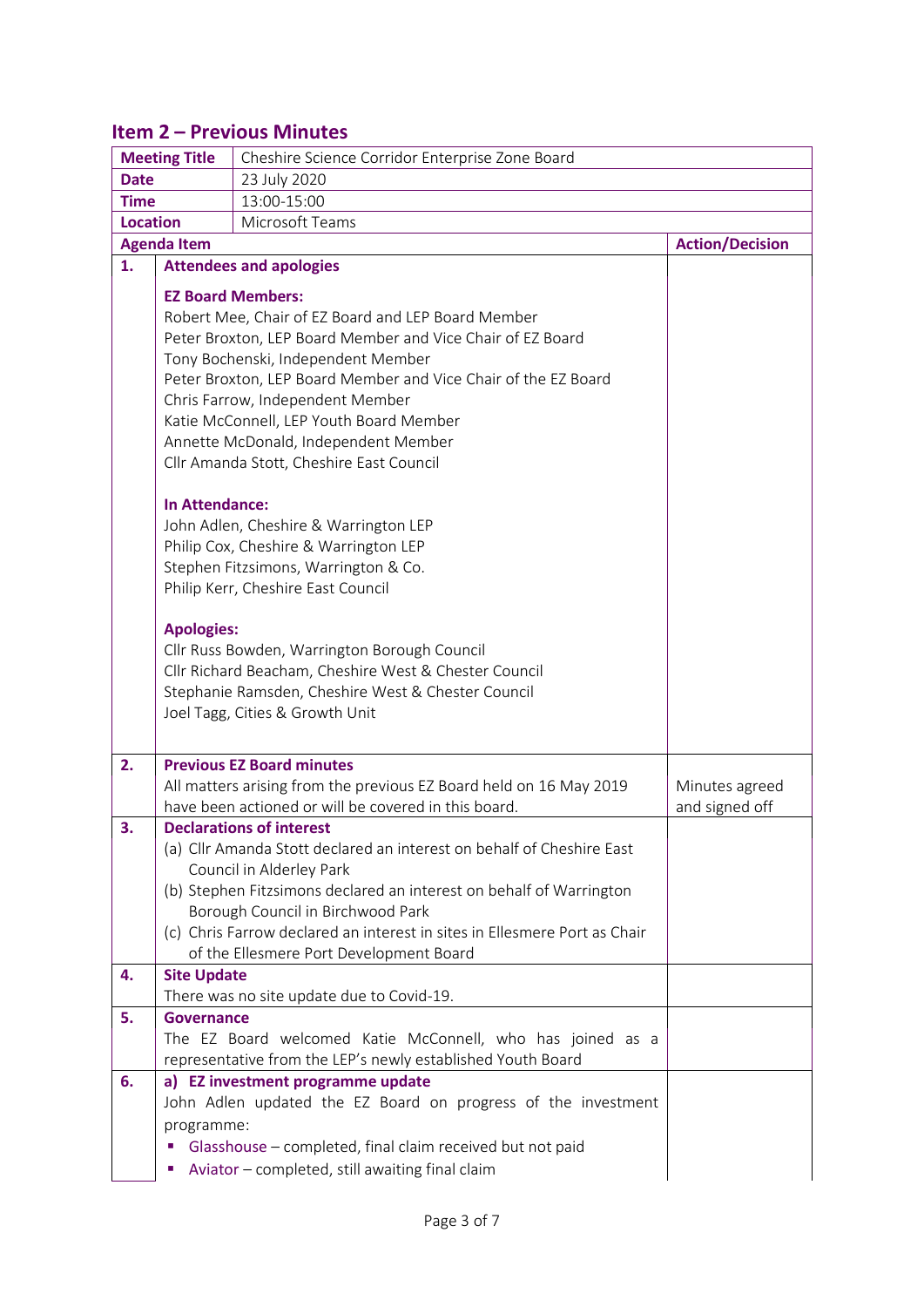## **Item 2 – Previous Minutes**

| <b>Meeting Title</b> |                                                                                                                                                                                                                                                                                                                                                                                                                                                                                                                                                                                                                                                                                                                                                                                                                                         | Cheshire Science Corridor Enterprise Zone Board                                                                                                                                                                                                                                                                                       |                                  |  |  |  |
|----------------------|-----------------------------------------------------------------------------------------------------------------------------------------------------------------------------------------------------------------------------------------------------------------------------------------------------------------------------------------------------------------------------------------------------------------------------------------------------------------------------------------------------------------------------------------------------------------------------------------------------------------------------------------------------------------------------------------------------------------------------------------------------------------------------------------------------------------------------------------|---------------------------------------------------------------------------------------------------------------------------------------------------------------------------------------------------------------------------------------------------------------------------------------------------------------------------------------|----------------------------------|--|--|--|
| <b>Date</b>          |                                                                                                                                                                                                                                                                                                                                                                                                                                                                                                                                                                                                                                                                                                                                                                                                                                         | 23 July 2020                                                                                                                                                                                                                                                                                                                          |                                  |  |  |  |
| <b>Time</b>          |                                                                                                                                                                                                                                                                                                                                                                                                                                                                                                                                                                                                                                                                                                                                                                                                                                         | 13:00-15:00                                                                                                                                                                                                                                                                                                                           |                                  |  |  |  |
| <b>Location</b>      |                                                                                                                                                                                                                                                                                                                                                                                                                                                                                                                                                                                                                                                                                                                                                                                                                                         | Microsoft Teams                                                                                                                                                                                                                                                                                                                       |                                  |  |  |  |
|                      | <b>Agenda Item</b>                                                                                                                                                                                                                                                                                                                                                                                                                                                                                                                                                                                                                                                                                                                                                                                                                      | <b>Action/Decision</b>                                                                                                                                                                                                                                                                                                                |                                  |  |  |  |
| 1.                   |                                                                                                                                                                                                                                                                                                                                                                                                                                                                                                                                                                                                                                                                                                                                                                                                                                         | <b>Attendees and apologies</b>                                                                                                                                                                                                                                                                                                        |                                  |  |  |  |
|                      | <b>EZ Board Members:</b><br>Robert Mee, Chair of EZ Board and LEP Board Member<br>Peter Broxton, LEP Board Member and Vice Chair of EZ Board<br>Tony Bochenski, Independent Member<br>Peter Broxton, LEP Board Member and Vice Chair of the EZ Board<br>Chris Farrow, Independent Member<br>Katie McConnell, LEP Youth Board Member<br>Annette McDonald, Independent Member<br>Cllr Amanda Stott, Cheshire East Council<br><b>In Attendance:</b><br>John Adlen, Cheshire & Warrington LEP<br>Philip Cox, Cheshire & Warrington LEP<br>Stephen Fitzsimons, Warrington & Co.<br>Philip Kerr, Cheshire East Council<br><b>Apologies:</b><br>Cllr Russ Bowden, Warrington Borough Council<br>Cllr Richard Beacham, Cheshire West & Chester Council<br>Stephanie Ramsden, Cheshire West & Chester Council<br>Joel Tagg, Cities & Growth Unit |                                                                                                                                                                                                                                                                                                                                       |                                  |  |  |  |
| 2.                   |                                                                                                                                                                                                                                                                                                                                                                                                                                                                                                                                                                                                                                                                                                                                                                                                                                         | <b>Previous EZ Board minutes</b><br>All matters arising from the previous EZ Board held on 16 May 2019<br>have been actioned or will be covered in this board.                                                                                                                                                                        | Minutes agreed<br>and signed off |  |  |  |
| 3.                   |                                                                                                                                                                                                                                                                                                                                                                                                                                                                                                                                                                                                                                                                                                                                                                                                                                         | <b>Declarations of interest</b>                                                                                                                                                                                                                                                                                                       |                                  |  |  |  |
|                      |                                                                                                                                                                                                                                                                                                                                                                                                                                                                                                                                                                                                                                                                                                                                                                                                                                         | (a) Cllr Amanda Stott declared an interest on behalf of Cheshire East<br>Council in Alderley Park<br>(b) Stephen Fitzsimons declared an interest on behalf of Warrington<br>Borough Council in Birchwood Park<br>(c) Chris Farrow declared an interest in sites in Ellesmere Port as Chair<br>of the Ellesmere Port Development Board |                                  |  |  |  |
| 4.                   | <b>Site Update</b>                                                                                                                                                                                                                                                                                                                                                                                                                                                                                                                                                                                                                                                                                                                                                                                                                      |                                                                                                                                                                                                                                                                                                                                       |                                  |  |  |  |
|                      |                                                                                                                                                                                                                                                                                                                                                                                                                                                                                                                                                                                                                                                                                                                                                                                                                                         | There was no site update due to Covid-19.                                                                                                                                                                                                                                                                                             |                                  |  |  |  |
| 5.                   | Governance                                                                                                                                                                                                                                                                                                                                                                                                                                                                                                                                                                                                                                                                                                                                                                                                                              | The EZ Board welcomed Katie McConnell, who has joined as a<br>representative from the LEP's newly established Youth Board                                                                                                                                                                                                             |                                  |  |  |  |
| 6.                   | a) EZ investment programme update                                                                                                                                                                                                                                                                                                                                                                                                                                                                                                                                                                                                                                                                                                                                                                                                       |                                                                                                                                                                                                                                                                                                                                       |                                  |  |  |  |
|                      | programme:<br>п<br>п                                                                                                                                                                                                                                                                                                                                                                                                                                                                                                                                                                                                                                                                                                                                                                                                                    | John Adlen updated the EZ Board on progress of the investment<br>Glasshouse - completed, final claim received but not paid<br>Aviator - completed, still awaiting final claim                                                                                                                                                         |                                  |  |  |  |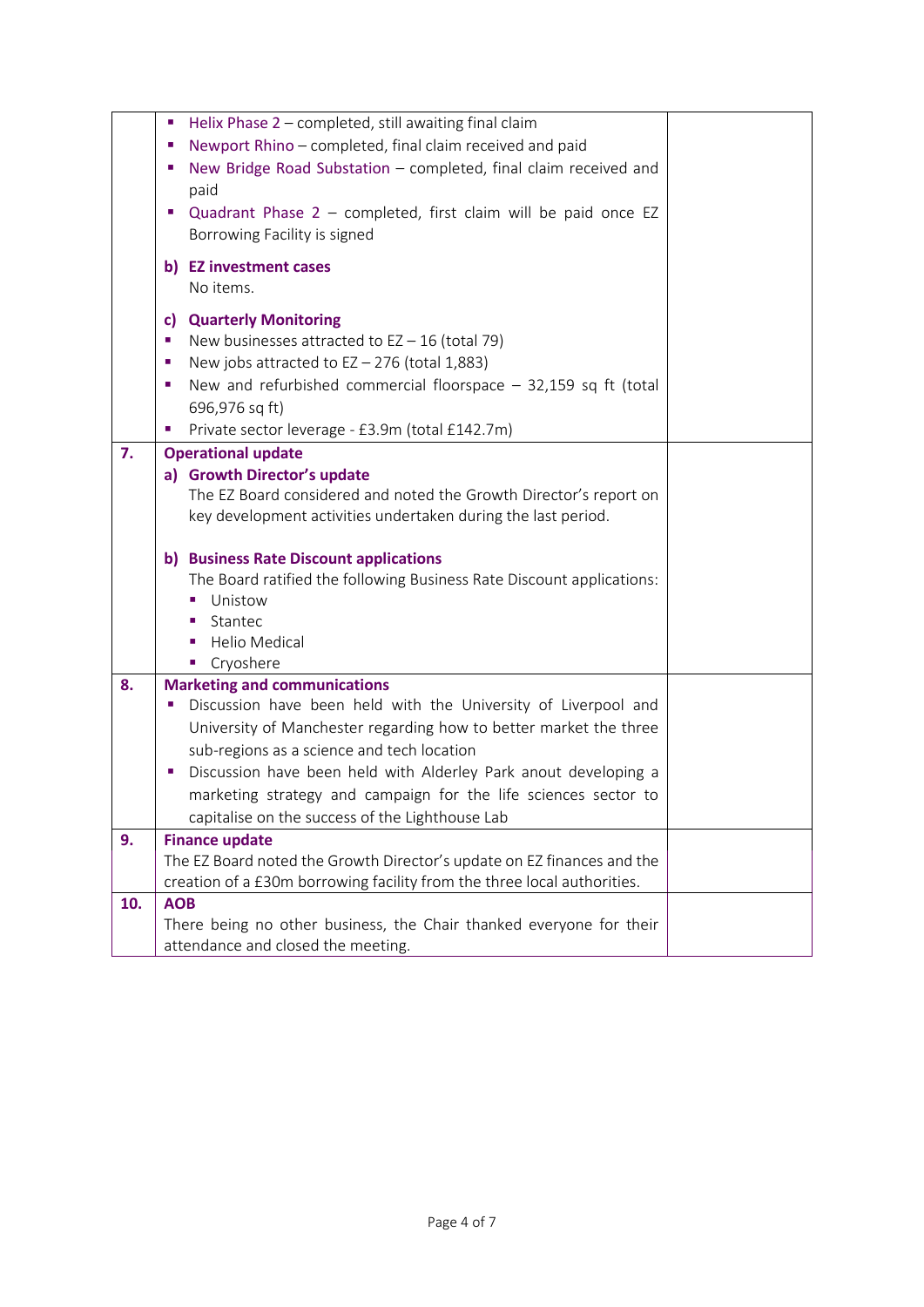|     | Helix Phase 2 - completed, still awaiting final claim                   |  |
|-----|-------------------------------------------------------------------------|--|
|     | Newport Rhino - completed, final claim received and paid<br>×,          |  |
|     | New Bridge Road Substation - completed, final claim received and<br>o,  |  |
|     | paid                                                                    |  |
|     | Quadrant Phase $2$ – completed, first claim will be paid once EZ        |  |
|     | Borrowing Facility is signed                                            |  |
|     | b) EZ investment cases                                                  |  |
|     | No items.                                                               |  |
|     |                                                                         |  |
|     | <b>Quarterly Monitoring</b><br>c)                                       |  |
|     | New businesses attracted to $EZ - 16$ (total 79)<br>ш                   |  |
|     | New jobs attracted to $EZ - 276$ (total 1,883)<br>×                     |  |
|     | New and refurbished commercial floorspace $-$ 32,159 sq ft (total<br>×  |  |
|     | 696,976 sq ft)                                                          |  |
|     | Private sector leverage - £3.9m (total £142.7m)                         |  |
| 7.  | <b>Operational update</b>                                               |  |
|     | a) Growth Director's update                                             |  |
|     | The EZ Board considered and noted the Growth Director's report on       |  |
|     | key development activities undertaken during the last period.           |  |
|     |                                                                         |  |
|     | b) Business Rate Discount applications                                  |  |
|     | The Board ratified the following Business Rate Discount applications:   |  |
|     | Unistow                                                                 |  |
|     | Stantec                                                                 |  |
|     | <b>Helio Medical</b>                                                    |  |
|     | Cryoshere                                                               |  |
| 8.  | <b>Marketing and communications</b>                                     |  |
|     | Discussion have been held with the University of Liverpool and<br>ш     |  |
|     | University of Manchester regarding how to better market the three       |  |
|     | sub-regions as a science and tech location                              |  |
|     | Discussion have been held with Alderley Park anout developing a         |  |
|     | marketing strategy and campaign for the life sciences sector to         |  |
|     | capitalise on the success of the Lighthouse Lab                         |  |
| 9.  | <b>Finance update</b>                                                   |  |
|     | The EZ Board noted the Growth Director's update on EZ finances and the  |  |
|     | creation of a £30m borrowing facility from the three local authorities. |  |
| 10. | <b>AOB</b>                                                              |  |
|     | There being no other business, the Chair thanked everyone for their     |  |
|     | attendance and closed the meeting.                                      |  |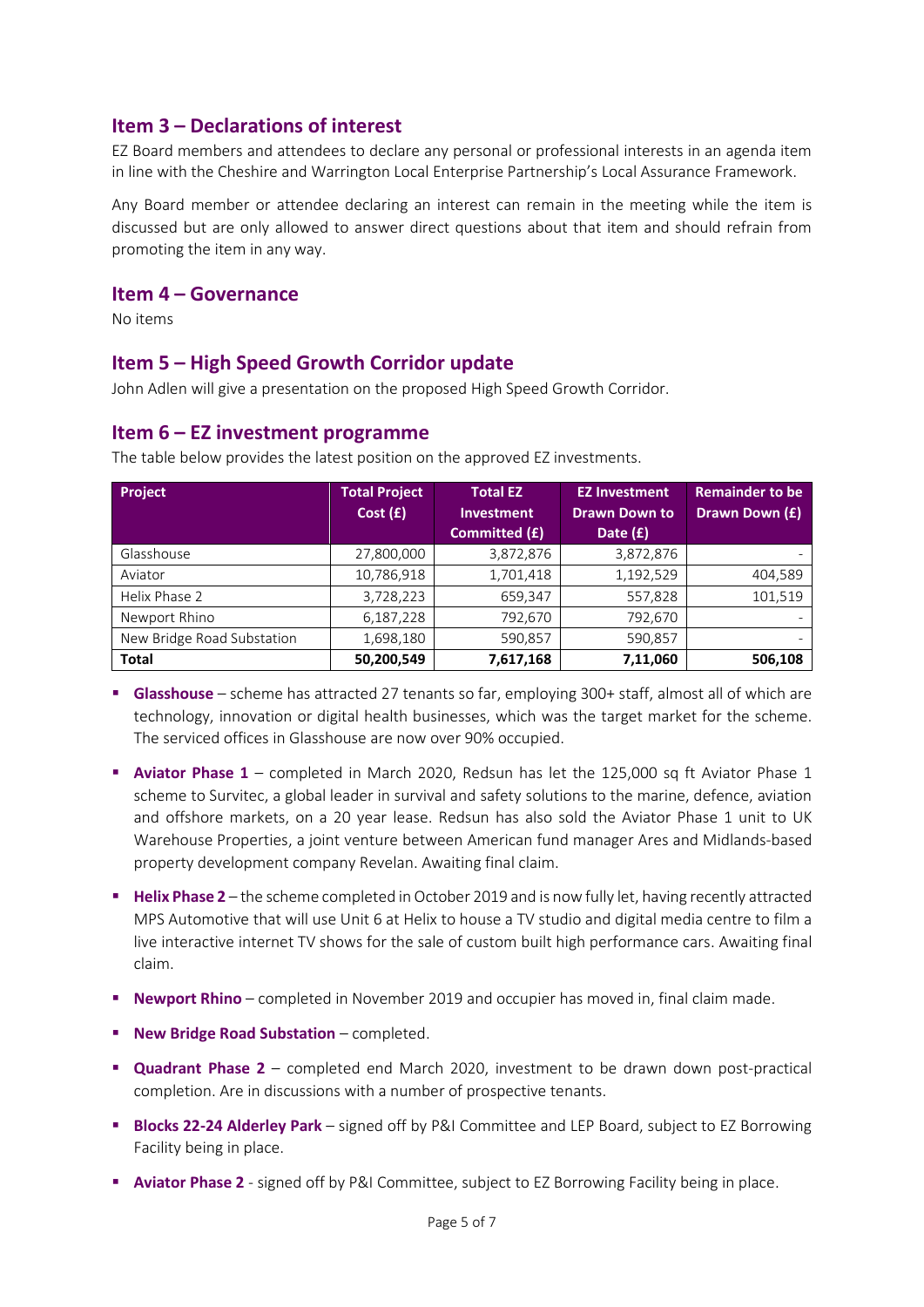## **Item 3 – Declarations of interest**

EZ Board members and attendees to declare any personal or professional interests in an agenda item in line with the Cheshire and Warrington Local Enterprise Partnership's Local Assurance Framework.

Any Board member or attendee declaring an interest can remain in the meeting while the item is discussed but are only allowed to answer direct questions about that item and should refrain from promoting the item in any way.

### **Item 4 – Governance**

No items

### **Item 5 – High Speed Growth Corridor update**

John Adlen will give a presentation on the proposed High Speed Growth Corridor.

### **Item 6 – EZ investment programme**

| Project                    | <b>Total Project</b> | <b>Total EZ</b>   | <b>EZ Investment</b> | <b>Remainder to be</b>   |
|----------------------------|----------------------|-------------------|----------------------|--------------------------|
|                            | Cost(f)              | <b>Investment</b> | <b>Drawn Down to</b> | Drawn Down (£)           |
|                            |                      | Committed (£)     | Date $(f)$           |                          |
| Glasshouse                 | 27,800,000           | 3,872,876         | 3,872,876            |                          |
| Aviator                    | 10,786,918           | 1,701,418         | 1,192,529            | 404,589                  |
| Helix Phase 2              | 3,728,223            | 659,347           | 557,828              | 101,519                  |
| Newport Rhino              | 6,187,228            | 792,670           | 792,670              | $\overline{\phantom{0}}$ |
| New Bridge Road Substation | 1,698,180            | 590,857           | 590,857              |                          |
| <b>Total</b>               | 50,200,549           | 7,617,168         | 7,11,060             | 506,108                  |

The table below provides the latest position on the approved EZ investments.

- **Glasshouse** scheme has attracted 27 tenants so far, employing 300+ staff, almost all of which are technology, innovation or digital health businesses, which was the target market for the scheme. The serviced offices in Glasshouse are now over 90% occupied.
- **Aviator Phase 1** completed in March 2020, Redsun has let the 125,000 sq ft Aviator Phase 1 scheme to Survitec, a global leader in survival and safety solutions to the marine, defence, aviation and offshore markets, on a 20 year lease. Redsun has also sold the Aviator Phase 1 unit to UK Warehouse Properties, a joint venture between American fund manager Ares and Midlands-based property development company Revelan. Awaiting final claim.
- **EXTERN Phase 2** the scheme completed in October 2019 and is now fully let, having recently attracted MPS Automotive that will use Unit 6 at Helix to house a TV studio and digital media centre to film a live interactive internet TV shows for the sale of custom built high performance cars. Awaiting final claim.
- **EXECT** Newport Rhino completed in November 2019 and occupier has moved in, final claim made.
- **New Bridge Road Substation** completed.
- **Quadrant Phase 2** completed end March 2020, investment to be drawn down post-practical completion. Are in discussions with a number of prospective tenants.
- **Blocks 22-24 Alderley Park** signed off by P&I Committee and LEP Board, subject to EZ Borrowing Facility being in place.
- **Aviator Phase 2** signed off by P&I Committee, subject to EZ Borrowing Facility being in place.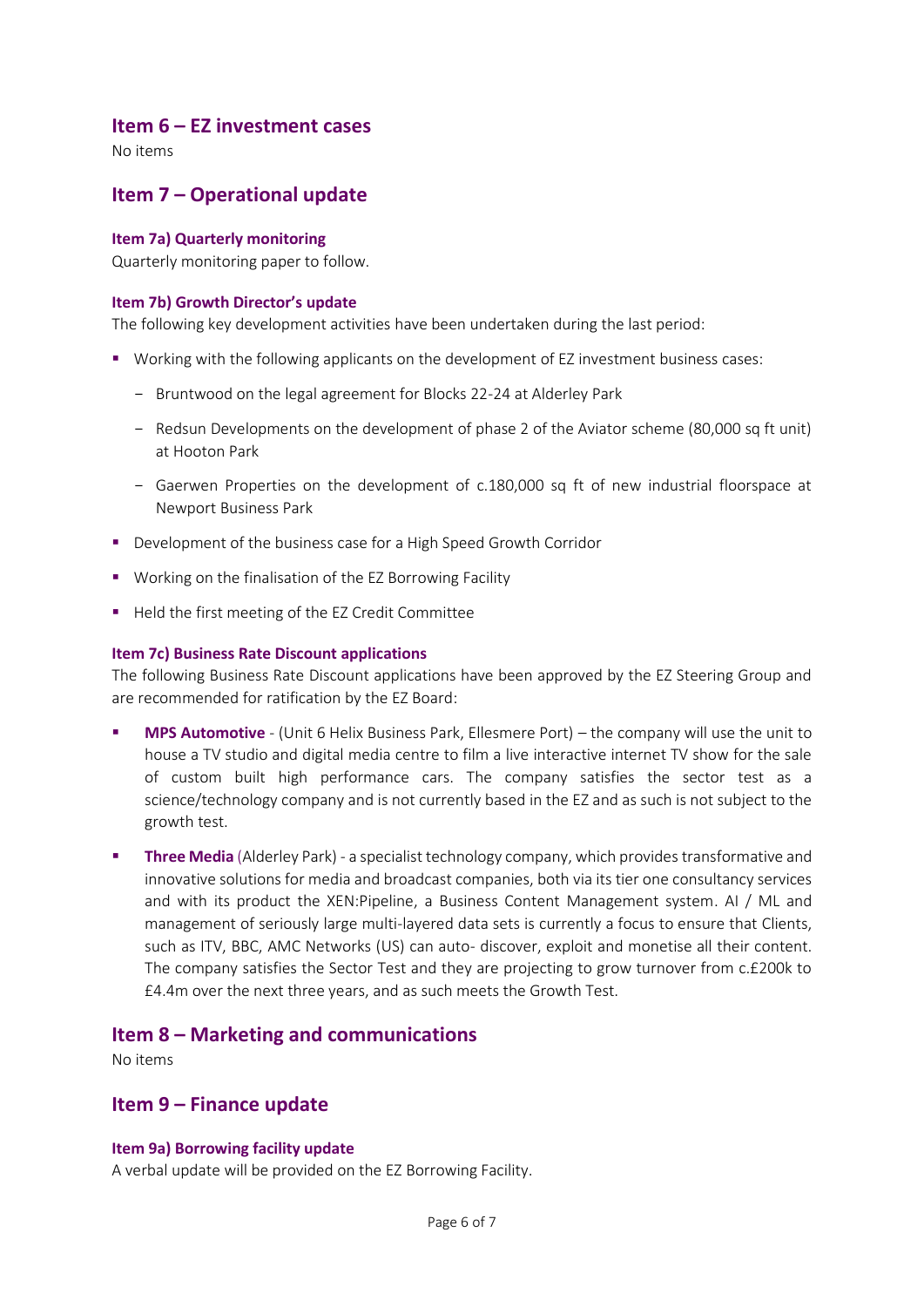### **Item 6 – EZ investment cases**

No items

## **Item 7 – Operational update**

#### **Item 7a) Quarterly monitoring**

Quarterly monitoring paper to follow.

#### **Item 7b) Growth Director's update**

The following key development activities have been undertaken during the last period:

- Working with the following applicants on the development of EZ investment business cases:
	- Bruntwood on the legal agreement for Blocks 22-24 at Alderley Park
	- Redsun Developments on the development of phase 2 of the Aviator scheme (80,000 sq ft unit) at Hooton Park
	- Gaerwen Properties on the development of c.180,000 sq ft of new industrial floorspace at Newport Business Park
- Development of the business case for a High Speed Growth Corridor
- Working on the finalisation of the EZ Borrowing Facility
- Held the first meeting of the EZ Credit Committee

#### **Item 7c) Business Rate Discount applications**

The following Business Rate Discount applications have been approved by the EZ Steering Group and are recommended for ratification by the EZ Board:

- **MPS Automotive** (Unit 6 Helix Business Park, Ellesmere Port) the company will use the unit to house a TV studio and digital media centre to film a live interactive internet TV show for the sale of custom built high performance cars. The company satisfies the sector test as a science/technology company and is not currently based in the EZ and as such is not subject to the growth test.
- **Three Media** (Alderley Park) a specialist technology company, which provides transformative and innovative solutions for media and broadcast companies, both via its tier one consultancy services and with its product the XEN:Pipeline, a Business Content Management system. AI / ML and management of seriously large multi-layered data sets is currently a focus to ensure that Clients, such as ITV, BBC, AMC Networks (US) can auto- discover, exploit and monetise all their content. The company satisfies the Sector Test and they are projecting to grow turnover from c.£200k to £4.4m over the next three years, and as such meets the Growth Test.

#### **Item 8 – Marketing and communications**

No items

#### **Item 9 – Finance update**

#### **Item 9a) Borrowing facility update**

A verbal update will be provided on the EZ Borrowing Facility.